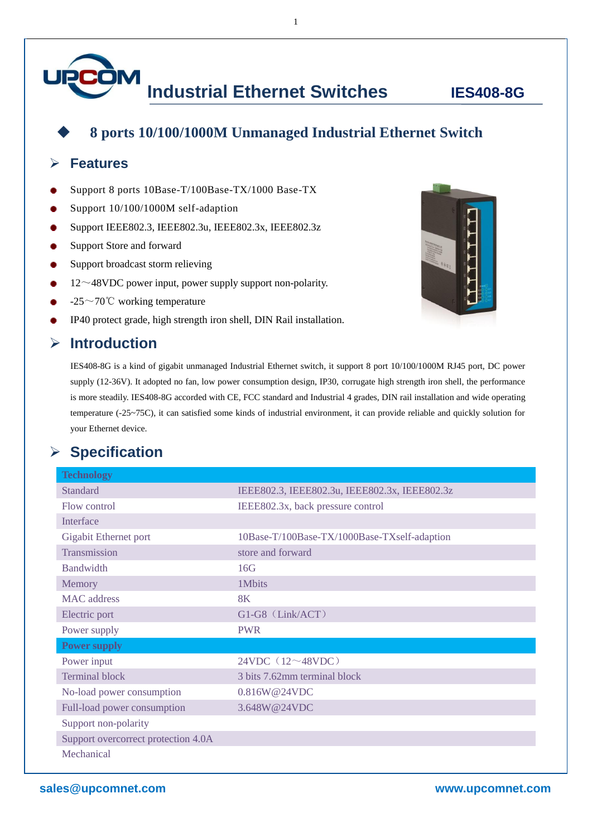# **Industrial Ethernet Switches IES408-8G**

### **8 ports 10/100/1000M Unmanaged Industrial Ethernet Switch**

1

#### **Features**

- Support 8 ports 10Base-T/100Base-TX/1000 Base-TX
- Support 10/100/1000M self-adaption
- Support IEEE802.3, IEEE802.3u, IEEE802.3x, IEEE802.3z
- Support Store and forward
- Support broadcast storm relieving
- $12~\sim$ 48VDC power input, power supply support non-polarity.
- $-25\sim70^{\circ}$ C working temperature
- IP40 protect grade, high strength iron shell, DIN Rail installation.

#### **Introduction**



IES408-8G is a kind of gigabit unmanaged Industrial Ethernet switch, it support 8 port 10/100/1000M RJ45 port, DC power supply (12-36V). It adopted no fan, low power consumption design, IP30, corrugate high strength iron shell, the performance is more steadily. IES408-8G accorded with CE, FCC standard and Industrial 4 grades, DIN rail installation and wide operating temperature (-25~75C), it can satisfied some kinds of industrial environment, it can provide reliable and quickly solution for your Ethernet device.

#### **Specification**

| <b>Technology</b>                   |                                               |
|-------------------------------------|-----------------------------------------------|
| <b>Standard</b>                     | IEEE802.3, IEEE802.3u, IEEE802.3x, IEEE802.3z |
| Flow control                        | IEEE802.3x, back pressure control             |
| Interface                           |                                               |
| Gigabit Ethernet port               | 10Base-T/100Base-TX/1000Base-TXself-adaption  |
| Transmission                        | store and forward                             |
| <b>Bandwidth</b>                    | 16G                                           |
| Memory                              | 1Mbits                                        |
| MAC address                         | 8K                                            |
| Electric port                       | $G1-G8$ (Link/ACT)                            |
| Power supply                        | <b>PWR</b>                                    |
| <b>Power supply</b>                 |                                               |
| Power input                         | 24VDC $(12~48VDC)$                            |
| <b>Terminal block</b>               | 3 bits 7.62mm terminal block                  |
| No-load power consumption           | 0.816W@24VDC                                  |
| Full-load power consumption         | 3.648W@24VDC                                  |
| Support non-polarity                |                                               |
| Support overcorrect protection 4.0A |                                               |
| Mechanical                          |                                               |